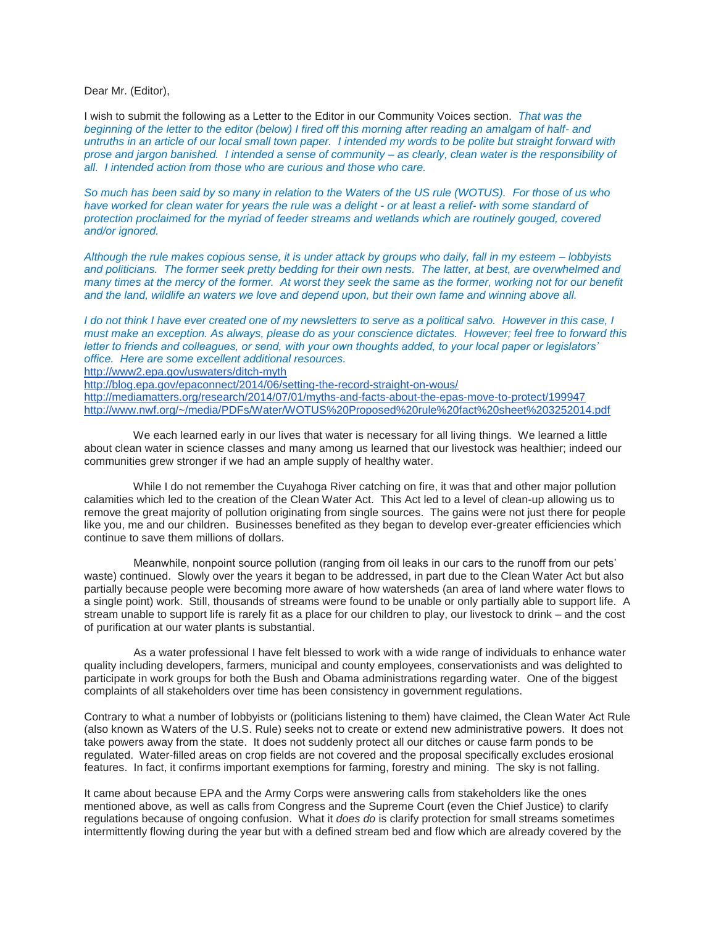Dear Mr. (Editor),

I wish to submit the following as a Letter to the Editor in our Community Voices section. *That was the beginning of the letter to the editor (below) I fired off this morning after reading an amalgam of half- and untruths in an article of our local small town paper. I intended my words to be polite but straight forward with prose and jargon banished. I intended a sense of community – as clearly, clean water is the responsibility of all. I intended action from those who are curious and those who care.*

*So much has been said by so many in relation to the Waters of the US rule (WOTUS). For those of us who have worked for clean water for years the rule was a delight - or at least a relief- with some standard of protection proclaimed for the myriad of feeder streams and wetlands which are routinely gouged, covered and/or ignored.*

*Although the rule makes copious sense, it is under attack by groups who daily, fall in my esteem – lobbyists and politicians. The former seek pretty bedding for their own nests. The latter, at best, are overwhelmed and many times at the mercy of the former. At worst they seek the same as the former, working not for our benefit and the land, wildlife an waters we love and depend upon, but their own fame and winning above all.*

*I do not think I have ever created one of my newsletters to serve as a political salvo. However in this case, I must make an exception. As always, please do as your conscience dictates. However; feel free to forward this letter to friends and colleagues, or send, with your own thoughts added, to your local paper or legislators' office. Here are some excellent additional resources.*

<http://www2.epa.gov/uswaters/ditch-myth>

<http://blog.epa.gov/epaconnect/2014/06/setting-the-record-straight-on-wous/>

<http://mediamatters.org/research/2014/07/01/myths-and-facts-about-the-epas-move-to-protect/199947> <http://www.nwf.org/~/media/PDFs/Water/WOTUS%20Proposed%20rule%20fact%20sheet%203252014.pdf>

We each learned early in our lives that water is necessary for all living things. We learned a little about clean water in science classes and many among us learned that our livestock was healthier; indeed our communities grew stronger if we had an ample supply of healthy water.

 While I do not remember the Cuyahoga River catching on fire, it was that and other major pollution calamities which led to the creation of the Clean Water Act. This Act led to a level of clean-up allowing us to remove the great majority of pollution originating from single sources. The gains were not just there for people like you, me and our children. Businesses benefited as they began to develop ever-greater efficiencies which continue to save them millions of dollars.

 Meanwhile, nonpoint source pollution (ranging from oil leaks in our cars to the runoff from our pets' waste) continued. Slowly over the years it began to be addressed, in part due to the Clean Water Act but also partially because people were becoming more aware of how watersheds (an area of land where water flows to a single point) work. Still, thousands of streams were found to be unable or only partially able to support life. A stream unable to support life is rarely fit as a place for our children to play, our livestock to drink – and the cost of purification at our water plants is substantial.

 As a water professional I have felt blessed to work with a wide range of individuals to enhance water quality including developers, farmers, municipal and county employees, conservationists and was delighted to participate in work groups for both the Bush and Obama administrations regarding water. One of the biggest complaints of all stakeholders over time has been consistency in government regulations.

Contrary to what a number of lobbyists or (politicians listening to them) have claimed, the Clean Water Act Rule (also known as Waters of the U.S. Rule) seeks not to create or extend new administrative powers. It does not take powers away from the state. It does not suddenly protect all our ditches or cause farm ponds to be regulated. Water-filled areas on crop fields are not covered and the proposal specifically excludes erosional features. In fact, it confirms important exemptions for farming, forestry and mining. The sky is not falling.

It came about because EPA and the Army Corps were answering calls from stakeholders like the ones mentioned above, as well as calls from Congress and the Supreme Court (even the Chief Justice) to clarify regulations because of ongoing confusion. What it *does do* is clarify protection for small streams sometimes intermittently flowing during the year but with a defined stream bed and flow which are already covered by the